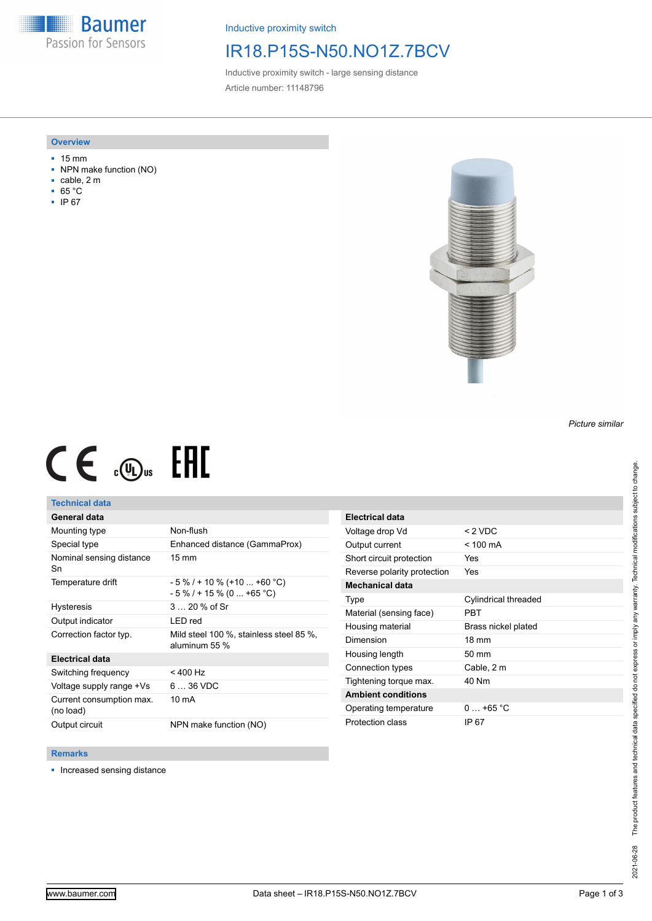**Baumer** Passion for Sensors

Inductive proximity switch

## IR18.P15S-N50.NO1Z.7BCV

Inductive proximity switch - large sensing distance Article number: 11148796

### **Overview**

- 15 mm
- NPN make function (NO)
- cable, 2 m
- 65 °C
- IP 67



# $CE \mathcal{L}$  (Dus FHI

## **Technical data**

## **General data**

| Mounting type                         | Non-flush                                                    |
|---------------------------------------|--------------------------------------------------------------|
| Special type                          | Enhanced distance (GammaProx)                                |
| Nominal sensing distance<br>Sn        | $15 \text{ mm}$                                              |
| Temperature drift                     | $-5\%$ / + 10 % (+10  +60 °C)<br>$-5\%$ / + 15 % (0  +65 °C) |
| <b>Hysteresis</b>                     | $320%$ of Sr                                                 |
| Output indicator                      | LED red                                                      |
| Correction factor typ.                | Mild steel 100 %, stainless steel 85 %,<br>aluminum 55 %     |
| <b>Electrical data</b>                |                                                              |
| Switching frequency                   | $< 400$ Hz                                                   |
| Voltage supply range +Vs              | $636$ VDC                                                    |
| Current consumption max.<br>(no load) | 10 mA                                                        |
| Output circuit                        | NPN make function (NO)                                       |

| <b>Electrical data</b>      |                      |
|-----------------------------|----------------------|
| Voltage drop Vd             | $<$ 2 VDC            |
| Output current              | $<$ 100 mA           |
| Short circuit protection    | Yes                  |
| Reverse polarity protection | Yes                  |
| <b>Mechanical data</b>      |                      |
| Type                        | Cylindrical threaded |
| Material (sensing face)     | PRT                  |
| Housing material            | Brass nickel plated  |
| Dimension                   | $18 \text{ mm}$      |
| Housing length              | $50 \text{ mm}$      |
| Connection types            | Cable, 2 m           |
| Tightening torque max.      | 40 Nm                |
| <b>Ambient conditions</b>   |                      |
| Operating temperature       | $0.165 \degree C$    |
| Protection class            | IP 67                |

#### **Remarks**

■ Increased sensing distance

*Picture similar*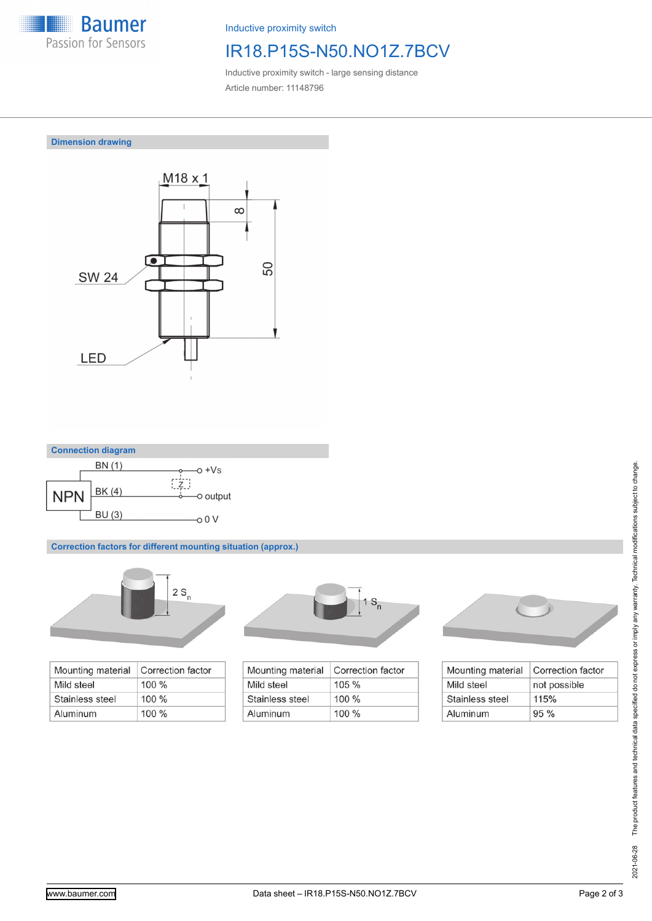

Inductive proximity switch

# IR18.P15S-N50.NO1Z.7BCV

Inductive proximity switch - large sensing distance Article number: 11148796

**Dimension drawing**





**Correction factors for different mounting situation (approx.)**



| Mounting material | Correction factor |
|-------------------|-------------------|
| Mild steel        | $100\%$           |
| Stainless steel   | $100 \%$          |
| Aluminum          | $100\%$           |



| Mounting material | Correction factor |
|-------------------|-------------------|
| Mild steel        | 105%              |
| Stainless steel   | $100\%$           |
| Aluminum          | $100\%$           |



| Mounting material | Correction factor |
|-------------------|-------------------|
| Mild steel        | not possible      |
| Stainless steel   | 115%              |
| Aluminum          | 95%               |